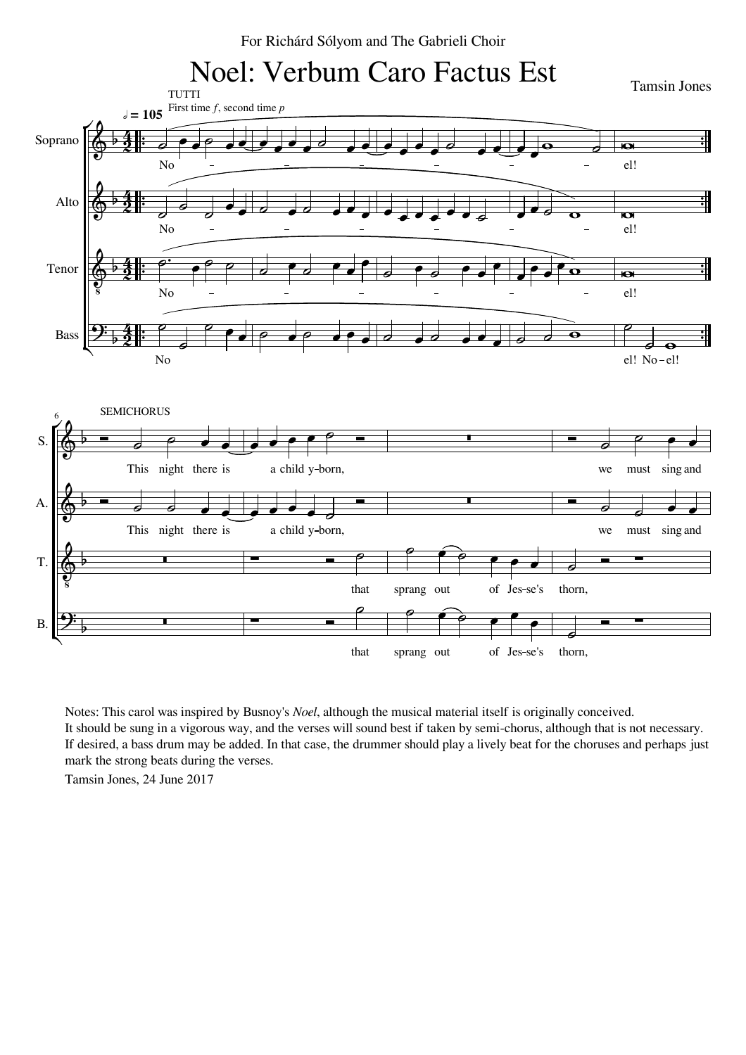



<u>:|</u> <u>:1</u>

 $\cdot$ <u> |</u>

 $\cdot$ <u>:|</u>

<u>:|</u> <u>:1</u>



Notes: This carol was inspired by Busnoy's *Noel*, although the musical material itself is originally conceived. It should be sung in a vigorous way, and the verses will sound best if taken by semi-chorus, although that is not necessary. If desired, a bass drum may be added. In that case, the drummer should play a lively beat for the choruses and perhaps just mark the strong beats during the verses.

Tamsin Jones, 24 June 2017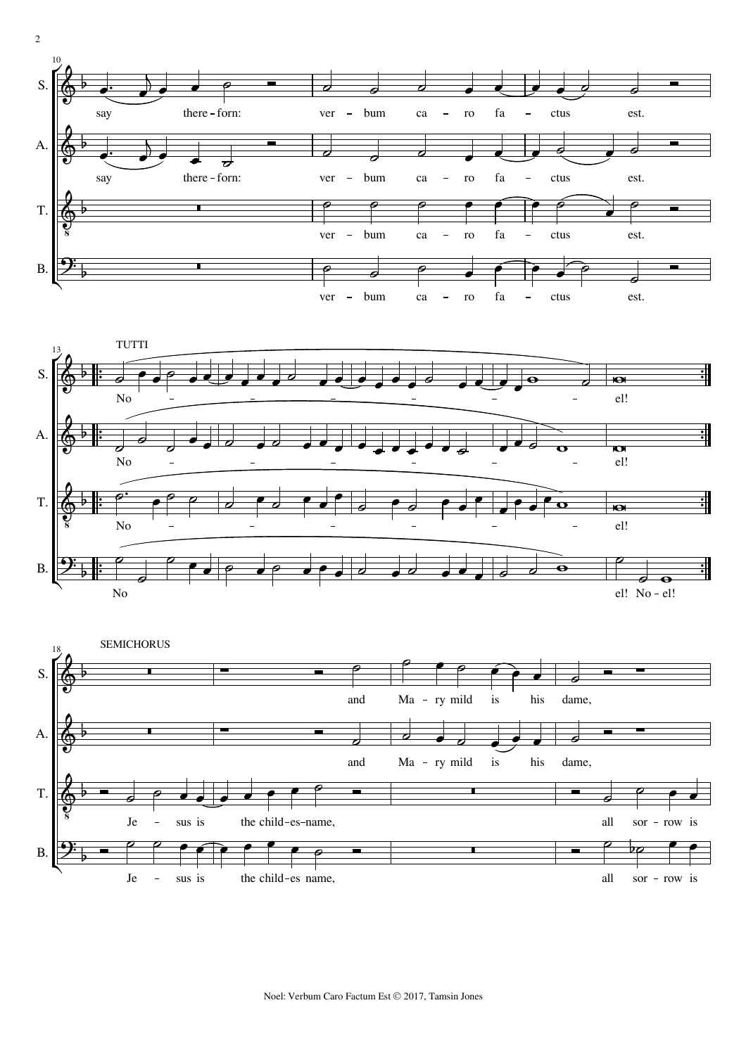





2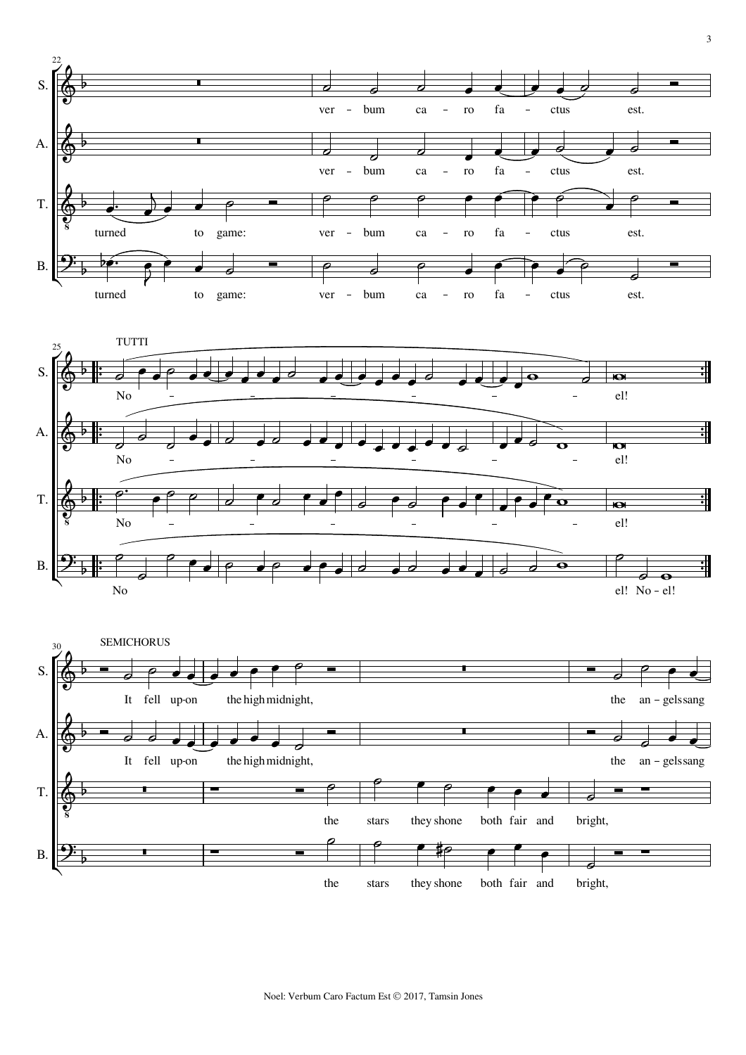



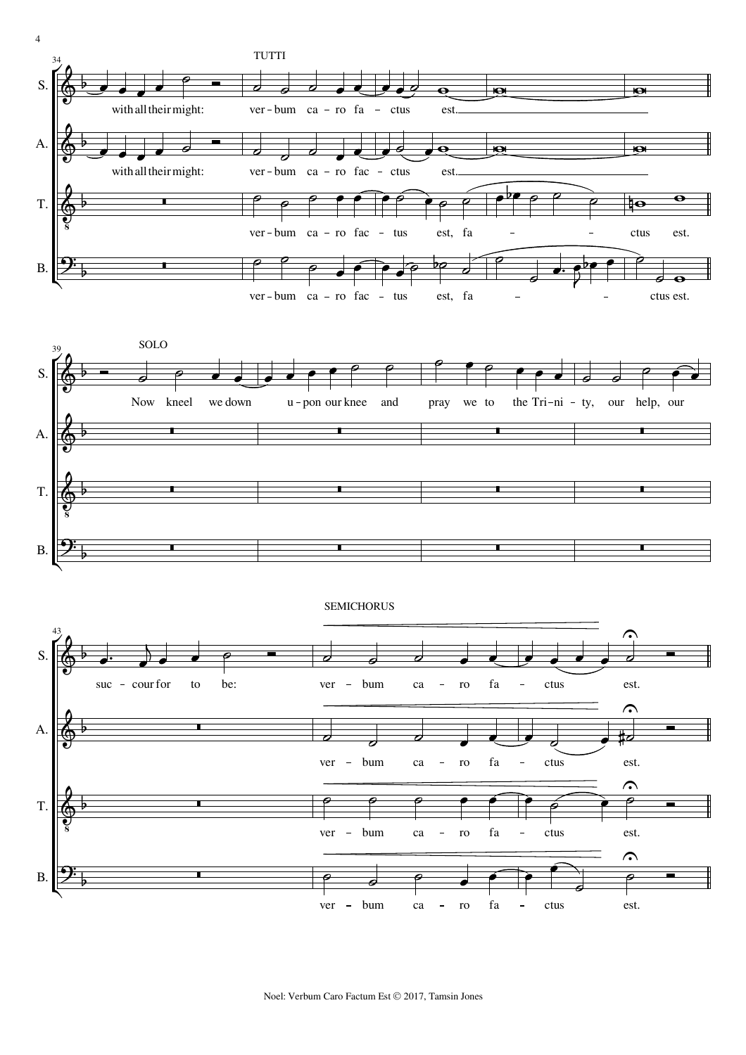

Noel: Verbum Caro Factum Est © 2017, Tamsin Jones